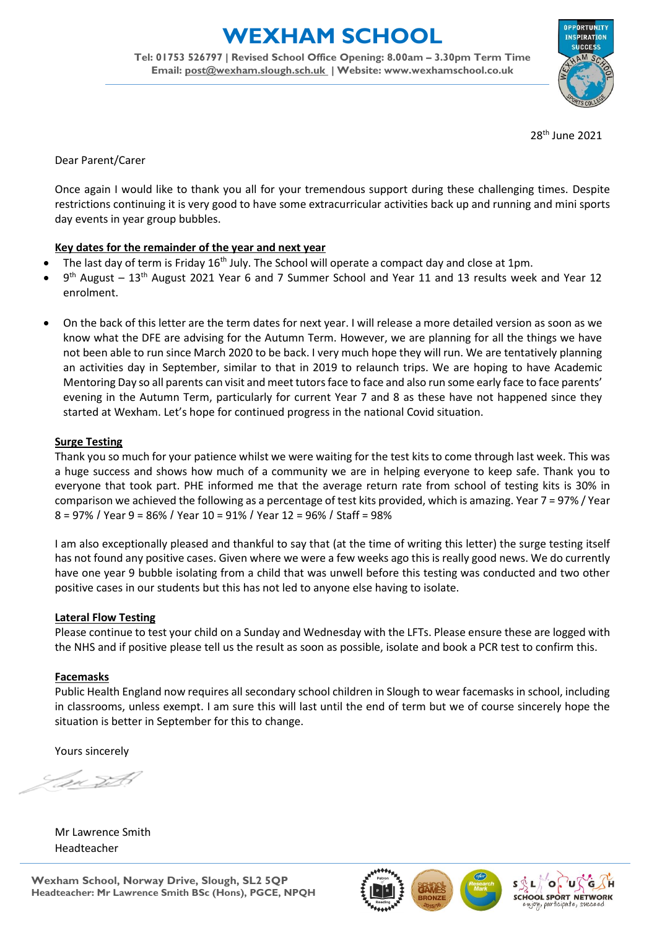**EXHAM SCHOOL** 

**Tel: 01753 526797 | Revised School Office Opening: 8.00am – 3.30pm Term Time Email: [post@wexham.slough.sch.uk](mailto:post@wexham.slough.sch.uk) | Website: www.wexhamschool.co.uk**



28th June 2021

Dear Parent/Carer

Once again I would like to thank you all for your tremendous support during these challenging times. Despite restrictions continuing it is very good to have some extracurricular activities back up and running and mini sports day events in year group bubbles.

## **Key dates for the remainder of the year and next year**

- The last day of term is Friday 16<sup>th</sup> July. The School will operate a compact day and close at 1pm.
- $\bullet$  9<sup>th</sup> August 13<sup>th</sup> August 2021 Year 6 and 7 Summer School and Year 11 and 13 results week and Year 12 enrolment.
- On the back of this letter are the term dates for next year. I will release a more detailed version as soon as we know what the DFE are advising for the Autumn Term. However, we are planning for all the things we have not been able to run since March 2020 to be back. I very much hope they will run. We are tentatively planning an activities day in September, similar to that in 2019 to relaunch trips. We are hoping to have Academic Mentoring Day so all parents can visit and meet tutors face to face and also run some early face to face parents' evening in the Autumn Term, particularly for current Year 7 and 8 as these have not happened since they started at Wexham. Let's hope for continued progress in the national Covid situation.

## **Surge Testing**

Thank you so much for your patience whilst we were waiting for the test kits to come through last week. This was a huge success and shows how much of a community we are in helping everyone to keep safe. Thank you to everyone that took part. PHE informed me that the average return rate from school of testing kits is 30% in comparison we achieved the following as a percentage of test kits provided, which is amazing. Year 7 = 97% / Year 8 = 97% / Year 9 = 86% / Year 10 = 91% / Year 12 = 96% / Staff = 98%

I am also exceptionally pleased and thankful to say that (at the time of writing this letter) the surge testing itself has not found any positive cases. Given where we were a few weeks ago this is really good news. We do currently have one year 9 bubble isolating from a child that was unwell before this testing was conducted and two other positive cases in our students but this has not led to anyone else having to isolate.

## **Lateral Flow Testing**

Please continue to test your child on a Sunday and Wednesday with the LFTs. Please ensure these are logged with the NHS and if positive please tell us the result as soon as possible, isolate and book a PCR test to confirm this.

## **Facemasks**

Public Health England now requires all secondary school children in Slough to wear facemasks in school, including in classrooms, unless exempt. I am sure this will last until the end of term but we of course sincerely hope the situation is better in September for this to change.

Yours sincerely

Mr Lawrence Smith Headteacher